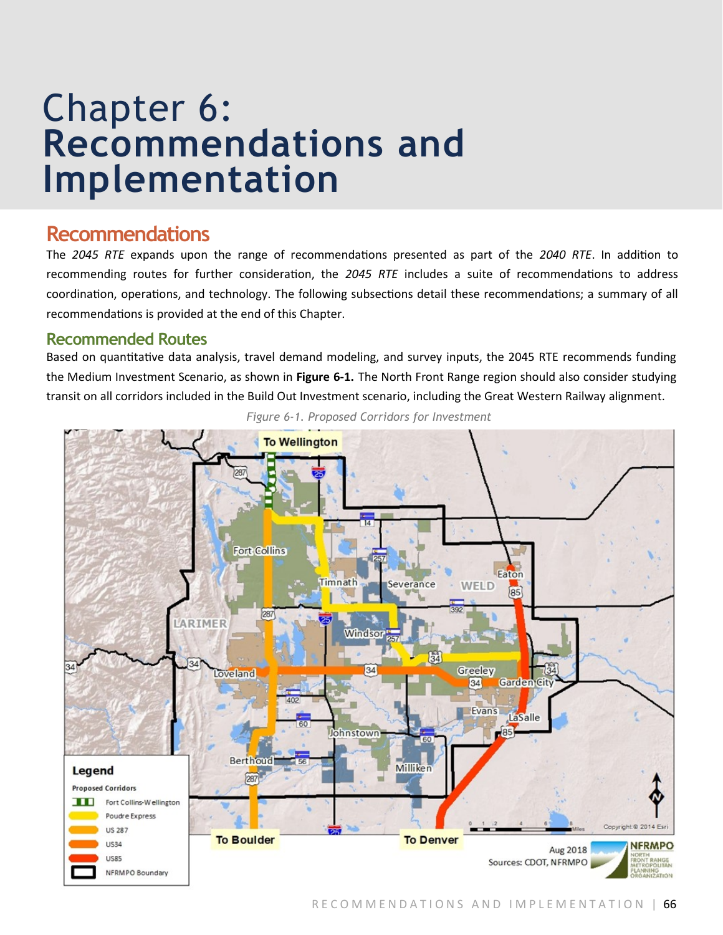# Chapter 6: **Recommendations and Implementation**

## **Recommendations**

The *2045 RTE* expands upon the range of recommendations presented as part of the *2040 RTE*. In addition to recommending routes for further consideration, the *2045 RTE* includes a suite of recommendations to address coordination, operations, and technology. The following subsections detail these recommendations; a summary of all recommendations is provided at the end of this Chapter.

## **Recommended Routes**

Based on quantitative data analysis, travel demand modeling, and survey inputs, the 2045 RTE recommends funding the Medium Investment Scenario, as shown in **Figure 6-1.** The North Front Range region should also consider studying transit on all corridors included in the Build Out Investment scenario, including the Great Western Railway alignment.



*Figure 6-1. Proposed Corridors for Investment*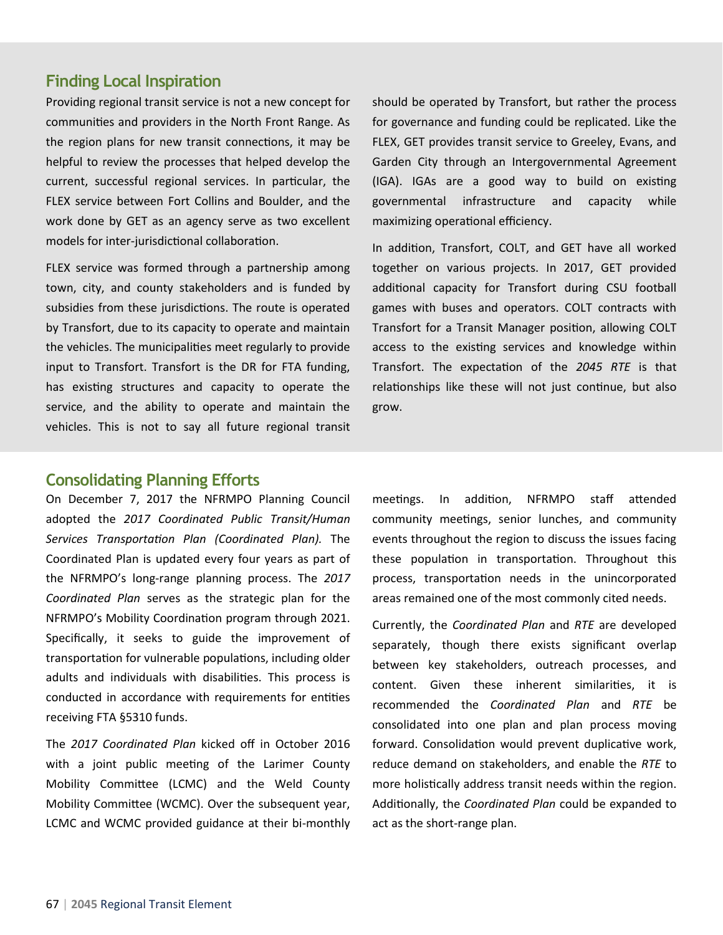### **Finding Local Inspiration**

Providing regional transit service is not a new concept for communities and providers in the North Front Range. As the region plans for new transit connections, it may be helpful to review the processes that helped develop the current, successful regional services. In particular, the FLEX service between Fort Collins and Boulder, and the work done by GET as an agency serve as two excellent models for inter-jurisdictional collaboration.

FLEX service was formed through a partnership among town, city, and county stakeholders and is funded by subsidies from these jurisdictions. The route is operated by Transfort, due to its capacity to operate and maintain the vehicles. The municipalities meet regularly to provide input to Transfort. Transfort is the DR for FTA funding, has existing structures and capacity to operate the service, and the ability to operate and maintain the vehicles. This is not to say all future regional transit

should be operated by Transfort, but rather the process for governance and funding could be replicated. Like the FLEX, GET provides transit service to Greeley, Evans, and Garden City through an Intergovernmental Agreement (IGA). IGAs are a good way to build on existing governmental infrastructure and capacity while maximizing operational efficiency.

In addition, Transfort, COLT, and GET have all worked together on various projects. In 2017, GET provided additional capacity for Transfort during CSU football games with buses and operators. COLT contracts with Transfort for a Transit Manager position, allowing COLT access to the existing services and knowledge within Transfort. The expectation of the *2045 RTE* is that relationships like these will not just continue, but also grow.

#### **Consolidating Planning Efforts**

On December 7, 2017 the NFRMPO Planning Council adopted the *2017 Coordinated Public Transit/Human Services Transportation Plan (Coordinated Plan).* The Coordinated Plan is updated every four years as part of the NFRMPO's long-range planning process. The *2017 Coordinated Plan* serves as the strategic plan for the NFRMPO's Mobility Coordination program through 2021. Specifically, it seeks to guide the improvement of transportation for vulnerable populations, including older adults and individuals with disabilities. This process is conducted in accordance with requirements for entities receiving FTA §5310 funds.

The *2017 Coordinated Plan* kicked off in October 2016 with a joint public meeting of the Larimer County Mobility Committee (LCMC) and the Weld County Mobility Committee (WCMC). Over the subsequent year, LCMC and WCMC provided guidance at their bi-monthly

meetings. In addition, NFRMPO staff attended community meetings, senior lunches, and community events throughout the region to discuss the issues facing these population in transportation. Throughout this process, transportation needs in the unincorporated areas remained one of the most commonly cited needs.

Currently, the *Coordinated Plan* and *RTE* are developed separately, though there exists significant overlap between key stakeholders, outreach processes, and content. Given these inherent similarities, it is recommended the *Coordinated Plan* and *RTE* be consolidated into one plan and plan process moving forward. Consolidation would prevent duplicative work, reduce demand on stakeholders, and enable the *RTE* to more holistically address transit needs within the region. Additionally, the *Coordinated Plan* could be expanded to act as the short-range plan.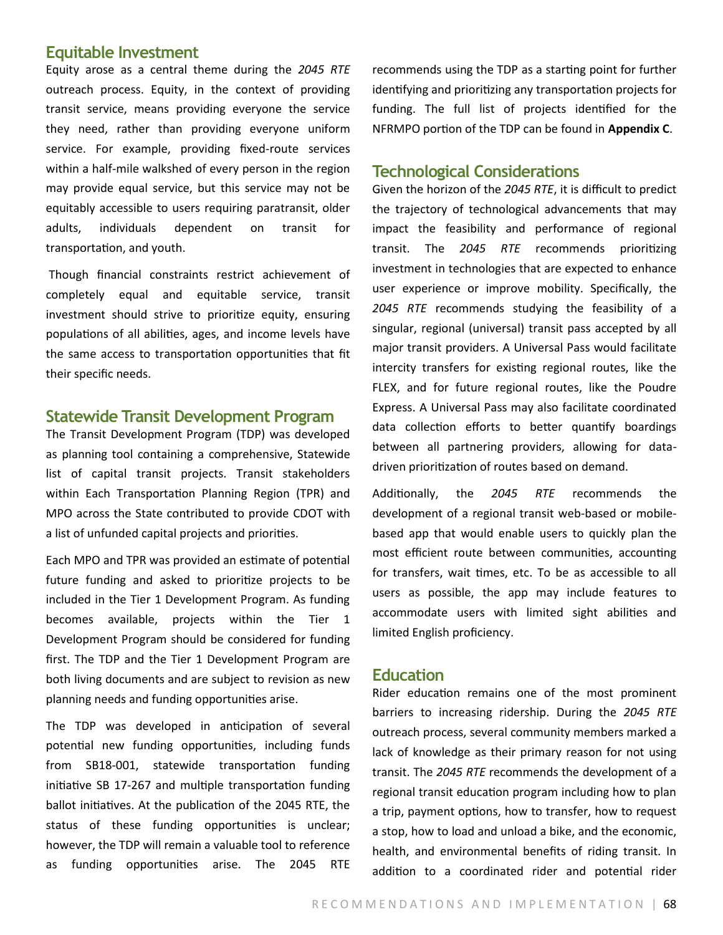#### **Equitable Investment**

Equity arose as a central theme during the *2045 RTE*  outreach process. Equity, in the context of providing transit service, means providing everyone the service they need, rather than providing everyone uniform service. For example, providing fixed-route services within a half-mile walkshed of every person in the region may provide equal service, but this service may not be equitably accessible to users requiring paratransit, older adults, individuals dependent on transit for transportation, and youth.

Though financial constraints restrict achievement of completely equal and equitable service, transit investment should strive to prioritize equity, ensuring populations of all abilities, ages, and income levels have the same access to transportation opportunities that fit their specific needs.

#### **Statewide Transit Development Program**

The Transit Development Program (TDP) was developed as planning tool containing a comprehensive, Statewide list of capital transit projects. Transit stakeholders within Each Transportation Planning Region (TPR) and MPO across the State contributed to provide CDOT with a list of unfunded capital projects and priorities.

Each MPO and TPR was provided an estimate of potential future funding and asked to prioritize projects to be included in the Tier 1 Development Program. As funding becomes available, projects within the Tier 1 Development Program should be considered for funding first. The TDP and the Tier 1 Development Program are both living documents and are subject to revision as new planning needs and funding opportunities arise.

The TDP was developed in anticipation of several potential new funding opportunities, including funds from SB18-001, statewide transportation funding initiative SB 17-267 and multiple transportation funding ballot initiatives. At the publication of the 2045 RTE, the status of these funding opportunities is unclear; however, the TDP will remain a valuable tool to reference as funding opportunities arise. The 2045 RTE

recommends using the TDP as a starting point for further identifying and prioritizing any transportation projects for funding. The full list of projects identified for the NFRMPO portion of the TDP can be found in **Appendix C**.

#### **Technological Considerations**

Given the horizon of the *2045 RTE*, it is difficult to predict the trajectory of technological advancements that may impact the feasibility and performance of regional transit. The *2045 RTE* recommends prioritizing investment in technologies that are expected to enhance user experience or improve mobility. Specifically, the *2045 RTE* recommends studying the feasibility of a singular, regional (universal) transit pass accepted by all major transit providers. A Universal Pass would facilitate intercity transfers for existing regional routes, like the FLEX, and for future regional routes, like the Poudre Express. A Universal Pass may also facilitate coordinated data collection efforts to better quantify boardings between all partnering providers, allowing for datadriven prioritization of routes based on demand.

Additionally, the *2045 RTE* recommends the development of a regional transit web-based or mobilebased app that would enable users to quickly plan the most efficient route between communities, accounting for transfers, wait times, etc. To be as accessible to all users as possible, the app may include features to accommodate users with limited sight abilities and limited English proficiency.

#### **Education**

Rider education remains one of the most prominent barriers to increasing ridership. During the *2045 RTE*  outreach process, several community members marked a lack of knowledge as their primary reason for not using transit. The *2045 RTE* recommends the development of a regional transit education program including how to plan a trip, payment options, how to transfer, how to request a stop, how to load and unload a bike, and the economic, health, and environmental benefits of riding transit. In addition to a coordinated rider and potential rider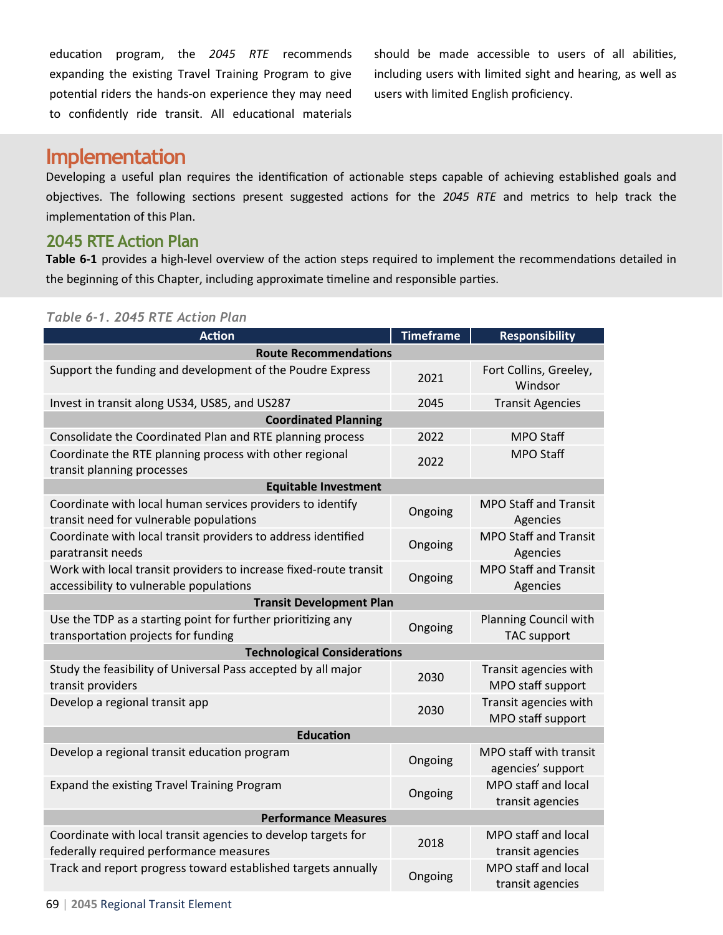education program, the *2045 RTE* recommends expanding the existing Travel Training Program to give potential riders the hands-on experience they may need to confidently ride transit. All educational materials should be made accessible to users of all abilities, including users with limited sight and hearing, as well as users with limited English proficiency.

## **Implementation**

Developing a useful plan requires the identification of actionable steps capable of achieving established goals and objectives. The following sections present suggested actions for the *2045 RTE* and metrics to help track the implementation of this Plan.

## **2045 RTE Action Plan**

**Table 6-1** provides a high-level overview of the action steps required to implement the recommendations detailed in the beginning of this Chapter, including approximate timeline and responsible parties.

#### *Table 6-1. 2045 RTE Action Plan*

| <b>Action</b>                                                                                                | <b>Timeframe</b> | <b>Responsibility</b>                              |  |
|--------------------------------------------------------------------------------------------------------------|------------------|----------------------------------------------------|--|
| <b>Route Recommendations</b>                                                                                 |                  |                                                    |  |
| Support the funding and development of the Poudre Express                                                    | 2021             | Fort Collins, Greeley,<br>Windsor                  |  |
| Invest in transit along US34, US85, and US287                                                                | 2045             | <b>Transit Agencies</b>                            |  |
| <b>Coordinated Planning</b>                                                                                  |                  |                                                    |  |
| Consolidate the Coordinated Plan and RTE planning process                                                    | 2022             | <b>MPO Staff</b>                                   |  |
| Coordinate the RTE planning process with other regional<br>transit planning processes                        | 2022             | <b>MPO Staff</b>                                   |  |
| <b>Equitable Investment</b>                                                                                  |                  |                                                    |  |
| Coordinate with local human services providers to identify<br>transit need for vulnerable populations        | Ongoing          | <b>MPO Staff and Transit</b><br>Agencies           |  |
| Coordinate with local transit providers to address identified<br>paratransit needs                           | Ongoing          | <b>MPO Staff and Transit</b><br>Agencies           |  |
| Work with local transit providers to increase fixed-route transit<br>accessibility to vulnerable populations | Ongoing          | <b>MPO Staff and Transit</b><br>Agencies           |  |
| <b>Transit Development Plan</b>                                                                              |                  |                                                    |  |
| Use the TDP as a starting point for further prioritizing any<br>transportation projects for funding          | Ongoing          | <b>Planning Council with</b><br><b>TAC</b> support |  |
| <b>Technological Considerations</b>                                                                          |                  |                                                    |  |
| Study the feasibility of Universal Pass accepted by all major<br>transit providers                           | 2030             | Transit agencies with<br>MPO staff support         |  |
| Develop a regional transit app                                                                               | 2030             | Transit agencies with<br>MPO staff support         |  |
| <b>Education</b>                                                                                             |                  |                                                    |  |
| Develop a regional transit education program                                                                 | Ongoing          | MPO staff with transit<br>agencies' support        |  |
| Expand the existing Travel Training Program                                                                  | Ongoing          | MPO staff and local<br>transit agencies            |  |
| <b>Performance Measures</b>                                                                                  |                  |                                                    |  |
| Coordinate with local transit agencies to develop targets for<br>federally required performance measures     | 2018             | MPO staff and local<br>transit agencies            |  |
| Track and report progress toward established targets annually                                                | Ongoing          | MPO staff and local<br>transit agencies            |  |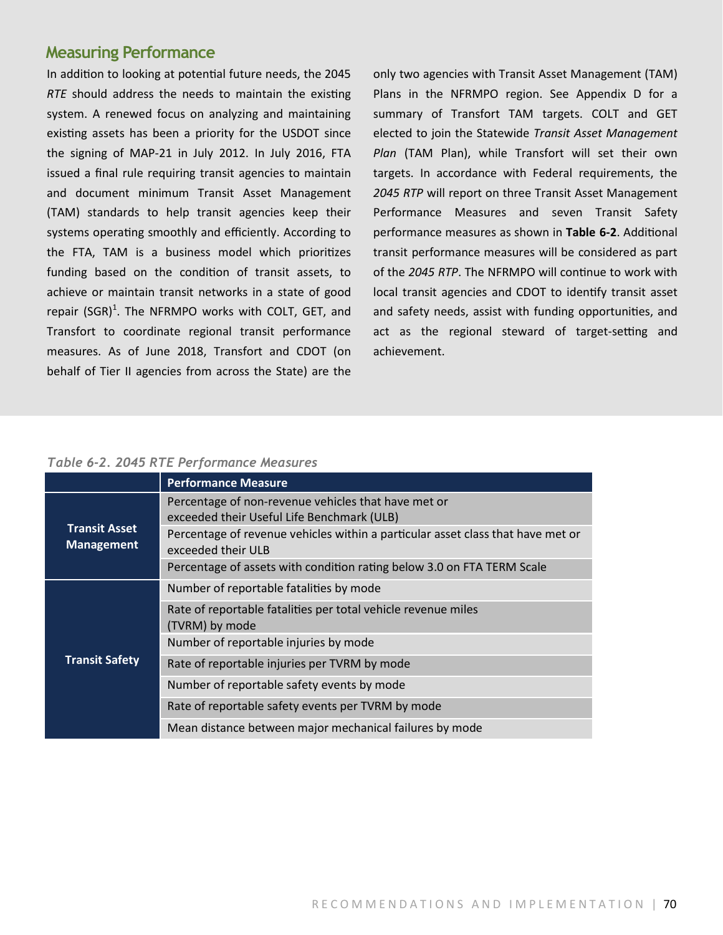#### **Measuring Performance**

In addition to looking at potential future needs, the 2045 *RTE* should address the needs to maintain the existing system. A renewed focus on analyzing and maintaining existing assets has been a priority for the USDOT since the signing of MAP-21 in July 2012. In July 2016, FTA issued a final rule requiring transit agencies to maintain and document minimum Transit Asset Management (TAM) standards to help transit agencies keep their systems operating smoothly and efficiently. According to the FTA, TAM is a business model which prioritizes funding based on the condition of transit assets, to achieve or maintain transit networks in a state of good repair (SGR)<sup>1</sup>. The NFRMPO works with COLT, GET, and Transfort to coordinate regional transit performance measures. As of June 2018, Transfort and CDOT (on behalf of Tier II agencies from across the State) are the

only two agencies with Transit Asset Management (TAM) Plans in the NFRMPO region. See Appendix D for a summary of Transfort TAM targets. COLT and GET elected to join the Statewide *Transit Asset Management Plan* (TAM Plan), while Transfort will set their own targets. In accordance with Federal requirements, the *2045 RTP* will report on three Transit Asset Management Performance Measures and seven Transit Safety performance measures as shown in **Table 6-2**. Additional transit performance measures will be considered as part of the *2045 RTP*. The NFRMPO will continue to work with local transit agencies and CDOT to identify transit asset and safety needs, assist with funding opportunities, and act as the regional steward of target-setting and achievement.

#### *Table 6-2. 2045 RTE Performance Measures*

|                                           | <b>Performance Measure</b>                                                                            |  |
|-------------------------------------------|-------------------------------------------------------------------------------------------------------|--|
| <b>Transit Asset</b><br><b>Management</b> | Percentage of non-revenue vehicles that have met or<br>exceeded their Useful Life Benchmark (ULB)     |  |
|                                           | Percentage of revenue vehicles within a particular asset class that have met or<br>exceeded their ULB |  |
|                                           | Percentage of assets with condition rating below 3.0 on FTA TERM Scale                                |  |
| <b>Transit Safety</b>                     | Number of reportable fatalities by mode                                                               |  |
|                                           | Rate of reportable fatalities per total vehicle revenue miles<br>(TVRM) by mode                       |  |
|                                           | Number of reportable injuries by mode                                                                 |  |
|                                           | Rate of reportable injuries per TVRM by mode                                                          |  |
|                                           | Number of reportable safety events by mode                                                            |  |
|                                           | Rate of reportable safety events per TVRM by mode                                                     |  |
|                                           | Mean distance between major mechanical failures by mode                                               |  |